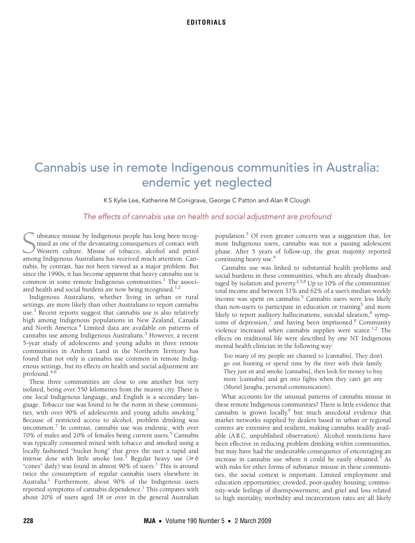# Cannabis use in remote Indigenous communities in Australia: endemic yet neglected

K S Kylie Lee, Katherine M Conigrave, George C Patton and Alan R Clough

# The effects of cannabis use on health and social adjustment are profound

ubstance misuse by Indigenous people has long been recognised as one of the devastating consequences of contact with Western culture. Misuse of tobacco, alcohol and petrol whistance misuse by Indigenous people has long been recognised as one of the devastating consequences of contact with Western culture. Misuse of tobacco, alcohol and petrol among Indigenous Australians has received much at nabis, by contrast, has not been viewed as a major problem. But since the 1990s, it has become apparent that heavy cannabis use is common in some remote Indigenous communities.<sup>1</sup> The associated health and social burdens are now being recognised.<sup>1,2</sup>

Indigenous Australians, whether living in urban or rural settings, are more likely than other Australians to report cannabis use.<sup>3</sup> Recent reports suggest that cannabis use is also relatively high among Indigenous populations in New Zealand, Canada and North America.<sup>4</sup> Limited data are available on patterns of cannabis use among Indigenous Australians.<sup>3</sup> However, a recent 5-year study of adolescents and young adults in three remote communities in Arnhem Land in the Northern Territory has found that not only is cannabis use common in remote Indigenous settings, but its effects on health and social adjustment are profound.4-6

These three communities are close to one another but very isolated, being over 550 kilometres from the nearest city. There is one local Indigenous language, and English is a secondary language. Tobacco use was found to be the norm in these communities, with over 90% of adolescents and young adults smoking.<sup>7</sup> Because of restricted access to alcohol, problem drinking was uncommon.<sup>7</sup> In contrast, cannabis use was endemic, with over 70% of males and 20% of females being current users.<sup>5</sup> Cannabis was typically consumed mixed with tobacco and smoked using a locally fashioned "bucket bong" that gives the user a rapid and intense dose with little smoke lost.<sup>5</sup> Regular heavy use ( $\geq 6$ "cones" daily) was found in almost 90% of users.<sup>7</sup> This is around twice the consumption of regular cannabis users elsewhere in Australia.<sup>1</sup> Furthermore, about 90% of the Indigenous users reported symptoms of cannabis dependence.<sup>1</sup> This compares with about 20% of users aged 18 or over in the general Australian

population.<sup>3</sup> Of even greater concern was a suggestion that, for most Indigenous users, cannabis was not a passing adolescent phase. After 5 years of follow-up, the great majority reported continuing heavy use.<sup>4</sup>

Cannabis use was linked to substantial health problems and social burdens in these communities, which are already disadvantaged by isolation and poverty.<sup>2,5,8</sup> Up to 10% of the communities' total income and between 31% and 62% of a user's median weekly income was spent on cannabis.<sup>5</sup> Cannabis users were less likely than non-users to participate in education or training $^5$  and more likely to report auditory hallucinations, suicidal ideation, $^6$  symptoms of depression,<sup>7</sup> and having been imprisoned.<sup>6</sup> Community violence increased when cannabis supplies were scarce.<sup>1,2</sup> The effects on traditional life were described by one NT Indigenous mental health clinician in the following way:

Too many of my people are chained to [cannabis]. They don't go out hunting or spend time by the river with their family. They just sit and smoke [cannabis], then look for money to buy more [cannabis] and get into fights when they can't get any (Muriel Jaragba, personal communication).

What accounts for the unusual patterns of cannabis misuse in these remote Indigenous communities? There is little evidence that cannabis is grown locally,<sup>9</sup> but much anecdotal evidence that market networks supplied by dealers based in urban or regional centres are extensive and resilient, making cannabis readily available (A R C, unpublished observation). Alcohol restrictions have been effective in reducing problem drinking within communities, but may have had the undesirable consequence of encouraging an increase in cannabis use where it could be easily obtained.<sup>5</sup> As with risks for other forms of substance misuse in these communities, the social context is important. Limited employment and education opportunities; crowded, poor-quality housing; community-wide feelings of disempowerment; and grief and loss related to high mortality, morbidity and incarceration rates are all likely